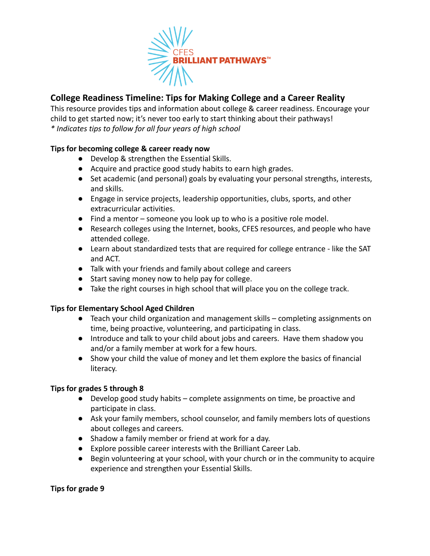

# **College Readiness Timeline: Tips for Making College and a Career Reality**

This resource provides tips and information about college & career readiness. Encourage your child to get started now; it's never too early to start thinking about their pathways! *\* Indicates tips to follow for all four years of high school*

### **Tips for becoming college & career ready now**

- Develop & strengthen the Essential Skills.
- Acquire and practice good study habits to earn high grades.
- Set academic (and personal) goals by evaluating your personal strengths, interests, and skills.
- Engage in service projects, leadership opportunities, clubs, sports, and other extracurricular activities.
- Find a mentor someone you look up to who is a positive role model.
- Research colleges using the Internet, books, CFES resources, and people who have attended college.
- Learn about standardized tests that are required for college entrance like the SAT and ACT.
- Talk with your friends and family about college and careers
- Start saving money now to help pay for college.
- Take the right courses in high school that will place you on the college track.

## **Tips for Elementary School Aged Children**

- Teach your child organization and management skills completing assignments on time, being proactive, volunteering, and participating in class.
- Introduce and talk to your child about jobs and careers. Have them shadow you and/or a family member at work for a few hours.
- Show your child the value of money and let them explore the basics of financial literacy.

### **Tips for grades 5 through 8**

- Develop good study habits complete assignments on time, be proactive and participate in class.
- Ask your family members, school counselor, and family members lots of questions about colleges and careers.
- Shadow a family member or friend at work for a day.
- Explore possible career interests with the Brilliant Career Lab.
- Begin volunteering at your school, with your church or in the community to acquire experience and strengthen your Essential Skills.

### **Tips for grade 9**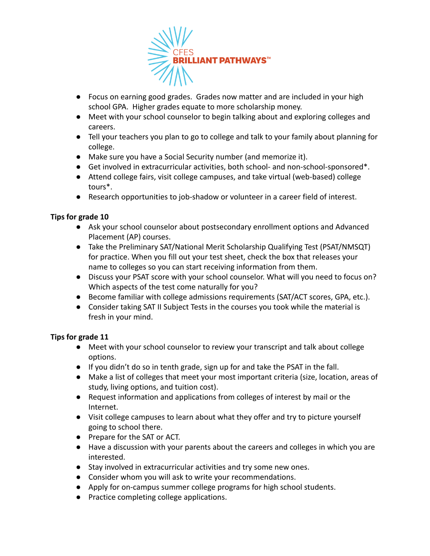

- Focus on earning good grades. Grades now matter and are included in your high school GPA. Higher grades equate to more scholarship money.
- Meet with your school counselor to begin talking about and exploring colleges and careers.
- Tell your teachers you plan to go to college and talk to your family about planning for college.
- Make sure you have a Social Security number (and memorize it).
- Get involved in extracurricular activities, both school- and non-school-sponsored\*.
- Attend college fairs, visit college campuses, and take virtual (web-based) college tours\*.
- Research opportunities to job-shadow or volunteer in a career field of interest.

### **Tips for grade 10**

- Ask your school counselor about postsecondary enrollment options and Advanced Placement (AP) courses.
- Take the Preliminary SAT/National Merit Scholarship Qualifying Test (PSAT/NMSQT) for practice. When you fill out your test sheet, check the box that releases your name to colleges so you can start receiving information from them.
- Discuss your PSAT score with your school counselor. What will you need to focus on? Which aspects of the test come naturally for you?
- Become familiar with college admissions requirements (SAT/ACT scores, GPA, etc.).
- Consider taking SAT II Subject Tests in the courses you took while the material is fresh in your mind.

### **Tips for grade 11**

- Meet with your school counselor to review your transcript and talk about college options.
- If you didn't do so in tenth grade, sign up for and take the PSAT in the fall.
- Make a list of colleges that meet your most important criteria (size, location, areas of study, living options, and tuition cost).
- Request information and applications from colleges of interest by mail or the Internet.
- Visit college campuses to learn about what they offer and try to picture yourself going to school there.
- Prepare for the SAT or ACT.
- Have a discussion with your parents about the careers and colleges in which you are interested.
- Stay involved in extracurricular activities and try some new ones.
- Consider whom you will ask to write your recommendations.
- Apply for on-campus summer college programs for high school students.
- Practice completing college applications.